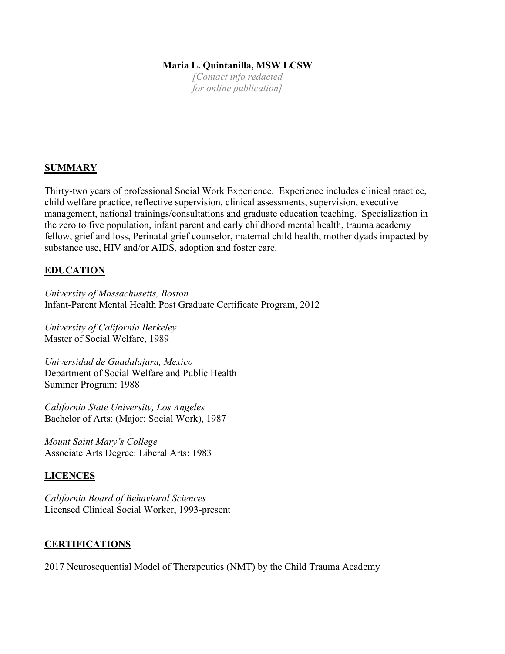## **Maria L. Quintanilla, MSW LCSW**

*[Contact info redacted for online publication]*

#### **SUMMARY**

Thirty-two years of professional Social Work Experience. Experience includes clinical practice, child welfare practice, reflective supervision, clinical assessments, supervision, executive management, national trainings/consultations and graduate education teaching. Specialization in the zero to five population, infant parent and early childhood mental health, trauma academy fellow, grief and loss, Perinatal grief counselor, maternal child health, mother dyads impacted by substance use, HIV and/or AIDS, adoption and foster care.

#### **EDUCATION**

*University of Massachusetts, Boston*  Infant-Parent Mental Health Post Graduate Certificate Program, 2012

*University of California Berkeley* Master of Social Welfare, 1989

*Universidad de Guadalajara, Mexico*  Department of Social Welfare and Public Health Summer Program: 1988

*California State University, Los Angeles*  Bachelor of Arts: (Major: Social Work), 1987

*Mount Saint Mary's College*  Associate Arts Degree: Liberal Arts: 1983

#### **LICENCES**

*California Board of Behavioral Sciences*  Licensed Clinical Social Worker, 1993-present

#### **CERTIFICATIONS**

2017 Neurosequential Model of Therapeutics (NMT) by the Child Trauma Academy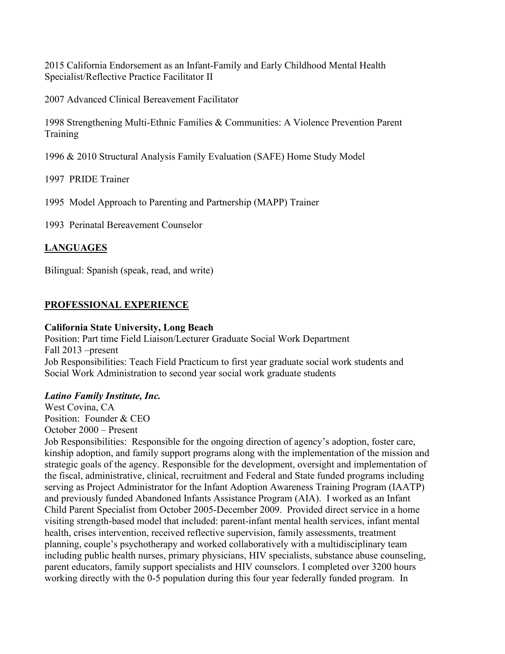2015 California Endorsement as an Infant-Family and Early Childhood Mental Health Specialist/Reflective Practice Facilitator II

2007 Advanced Clinical Bereavement Facilitator

1998 Strengthening Multi-Ethnic Families & Communities: A Violence Prevention Parent Training

1996 & 2010 Structural Analysis Family Evaluation (SAFE) Home Study Model

1997 PRIDE Trainer

1995 Model Approach to Parenting and Partnership (MAPP) Trainer

1993Perinatal Bereavement Counselor

# **LANGUAGES**

Bilingual: Spanish (speak, read, and write)

#### **PROFESSIONAL EXPERIENCE**

#### **California State University, Long Beach**

Position: Part time Field Liaison/Lecturer Graduate Social Work Department Fall 2013 –present Job Responsibilities: Teach Field Practicum to first year graduate social work students and Social Work Administration to second year social work graduate students

#### *Latino Family Institute, Inc.*

West Covina, CA Position: Founder & CEO October 2000 – Present

Job Responsibilities: Responsible for the ongoing direction of agency's adoption, foster care, kinship adoption, and family support programs along with the implementation of the mission and strategic goals of the agency. Responsible for the development, oversight and implementation of the fiscal, administrative, clinical, recruitment and Federal and State funded programs including serving as Project Administrator for the Infant Adoption Awareness Training Program (IAATP) and previously funded Abandoned Infants Assistance Program (AIA). I worked as an Infant Child Parent Specialist from October 2005-December 2009. Provided direct service in a home visiting strength-based model that included: parent-infant mental health services, infant mental health, crises intervention, received reflective supervision, family assessments, treatment planning, couple's psychotherapy and worked collaboratively with a multidisciplinary team including public health nurses, primary physicians, HIV specialists, substance abuse counseling, parent educators, family support specialists and HIV counselors. I completed over 3200 hours working directly with the 0-5 population during this four year federally funded program. In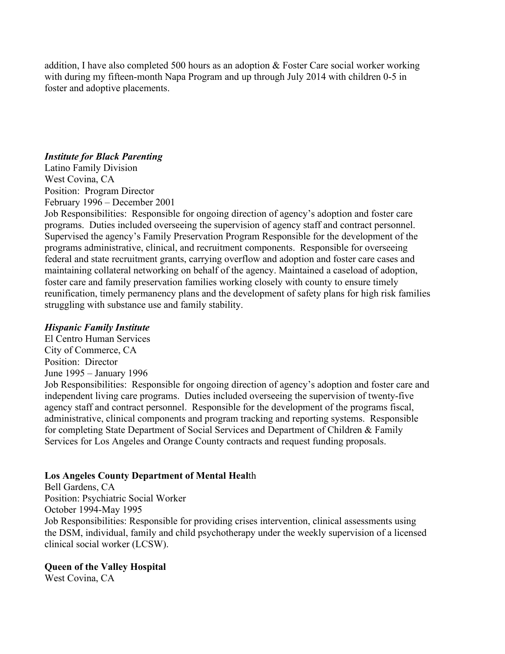addition, I have also completed 500 hours as an adoption & Foster Care social worker working with during my fifteen-month Napa Program and up through July 2014 with children 0-5 in foster and adoptive placements.

#### *Institute for Black Parenting*

Latino Family Division West Covina, CA Position: Program Director February 1996 – December 2001

Job Responsibilities: Responsible for ongoing direction of agency's adoption and foster care programs. Duties included overseeing the supervision of agency staff and contract personnel. Supervised the agency's Family Preservation Program Responsible for the development of the programs administrative, clinical, and recruitment components. Responsible for overseeing federal and state recruitment grants, carrying overflow and adoption and foster care cases and maintaining collateral networking on behalf of the agency. Maintained a caseload of adoption, foster care and family preservation families working closely with county to ensure timely reunification, timely permanency plans and the development of safety plans for high risk families struggling with substance use and family stability.

#### *Hispanic Family Institute*

El Centro Human Services City of Commerce, CA Position: Director June 1995 – January 1996 Job Responsibilities: Responsible for ongoing direction of agency's adoption and foster care and independent living care programs. Duties included overseeing the supervision of twenty-five agency staff and contract personnel. Responsible for the development of the programs fiscal, administrative, clinical components and program tracking and reporting systems. Responsible for completing State Department of Social Services and Department of Children & Family Services for Los Angeles and Orange County contracts and request funding proposals.

## **Los Angeles County Department of Mental Heal**th

Bell Gardens, CA Position: Psychiatric Social Worker October 1994-May 1995 Job Responsibilities: Responsible for providing crises intervention, clinical assessments using the DSM, individual, family and child psychotherapy under the weekly supervision of a licensed clinical social worker (LCSW).

## **Queen of the Valley Hospital**

West Covina, CA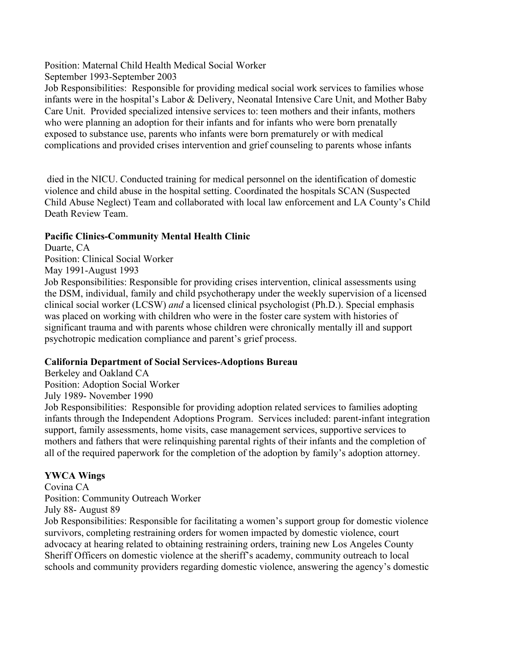Position: Maternal Child Health Medical Social Worker September 1993-September 2003

Job Responsibilities: Responsible for providing medical social work services to families whose infants were in the hospital's Labor & Delivery, Neonatal Intensive Care Unit, and Mother Baby Care Unit. Provided specialized intensive services to: teen mothers and their infants, mothers who were planning an adoption for their infants and for infants who were born prenatally exposed to substance use, parents who infants were born prematurely or with medical complications and provided crises intervention and grief counseling to parents whose infants

died in the NICU. Conducted training for medical personnel on the identification of domestic violence and child abuse in the hospital setting. Coordinated the hospitals SCAN (Suspected Child Abuse Neglect) Team and collaborated with local law enforcement and LA County's Child Death Review Team.

# **Pacific Clinics-Community Mental Health Clinic**

Duarte, CA Position: Clinical Social Worker May 1991-August 1993

Job Responsibilities: Responsible for providing crises intervention, clinical assessments using the DSM, individual, family and child psychotherapy under the weekly supervision of a licensed clinical social worker (LCSW) *and* a licensed clinical psychologist (Ph.D.). Special emphasis was placed on working with children who were in the foster care system with histories of significant trauma and with parents whose children were chronically mentally ill and support psychotropic medication compliance and parent's grief process.

# **California Department of Social Services-Adoptions Bureau**

Berkeley and Oakland CA Position: Adoption Social Worker July 1989- November 1990

Job Responsibilities: Responsible for providing adoption related services to families adopting infants through the Independent Adoptions Program. Services included: parent-infant integration support, family assessments, home visits, case management services, supportive services to mothers and fathers that were relinquishing parental rights of their infants and the completion of all of the required paperwork for the completion of the adoption by family's adoption attorney.

# **YWCA Wings**

Covina CA Position: Community Outreach Worker July 88- August 89

Job Responsibilities: Responsible for facilitating a women's support group for domestic violence survivors, completing restraining orders for women impacted by domestic violence, court advocacy at hearing related to obtaining restraining orders, training new Los Angeles County Sheriff Officers on domestic violence at the sheriff's academy, community outreach to local schools and community providers regarding domestic violence, answering the agency's domestic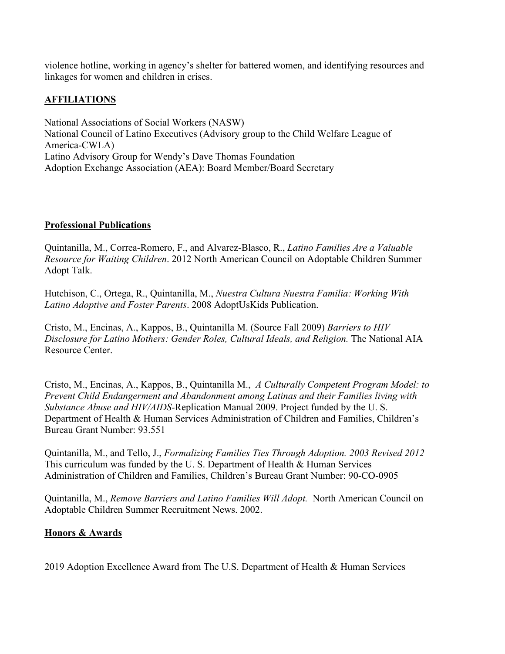violence hotline, working in agency's shelter for battered women, and identifying resources and linkages for women and children in crises.

# **AFFILIATIONS**

National Associations of Social Workers (NASW) National Council of Latino Executives (Advisory group to the Child Welfare League of America-CWLA) Latino Advisory Group for Wendy's Dave Thomas Foundation Adoption Exchange Association (AEA): Board Member/Board Secretary

## **Professional Publications**

Quintanilla, M., Correa-Romero, F., and Alvarez-Blasco, R., *Latino Families Are a Valuable Resource for Waiting Children*. 2012 North American Council on Adoptable Children Summer Adopt Talk.

Hutchison, C., Ortega, R., Quintanilla, M., *Nuestra Cultura Nuestra Familia: Working With Latino Adoptive and Foster Parents*. 2008 AdoptUsKids Publication.

Cristo, M., Encinas, A., Kappos, B., Quintanilla M. (Source Fall 2009) *Barriers to HIV Disclosure for Latino Mothers: Gender Roles, Cultural Ideals, and Religion. The National AIA* Resource Center.

Cristo, M., Encinas, A., Kappos, B., Quintanilla M., *A Culturally Competent Program Model: to Prevent Child Endangerment and Abandonment among Latinas and their Families living with Substance Abuse and HIV/AIDS-*Replication Manual 2009. Project funded by the U. S. Department of Health & Human Services Administration of Children and Families, Children's Bureau Grant Number: 93.551

Quintanilla, M., and Tello, J., *Formalizing Families Ties Through Adoption. 2003 Revised 2012*  This curriculum was funded by the U. S. Department of Health & Human Services Administration of Children and Families, Children's Bureau Grant Number: 90-CO-0905

Quintanilla, M., *Remove Barriers and Latino Families Will Adopt.* North American Council on Adoptable Children Summer Recruitment News. 2002.

#### **Honors & Awards**

2019 Adoption Excellence Award from The U.S. Department of Health & Human Services